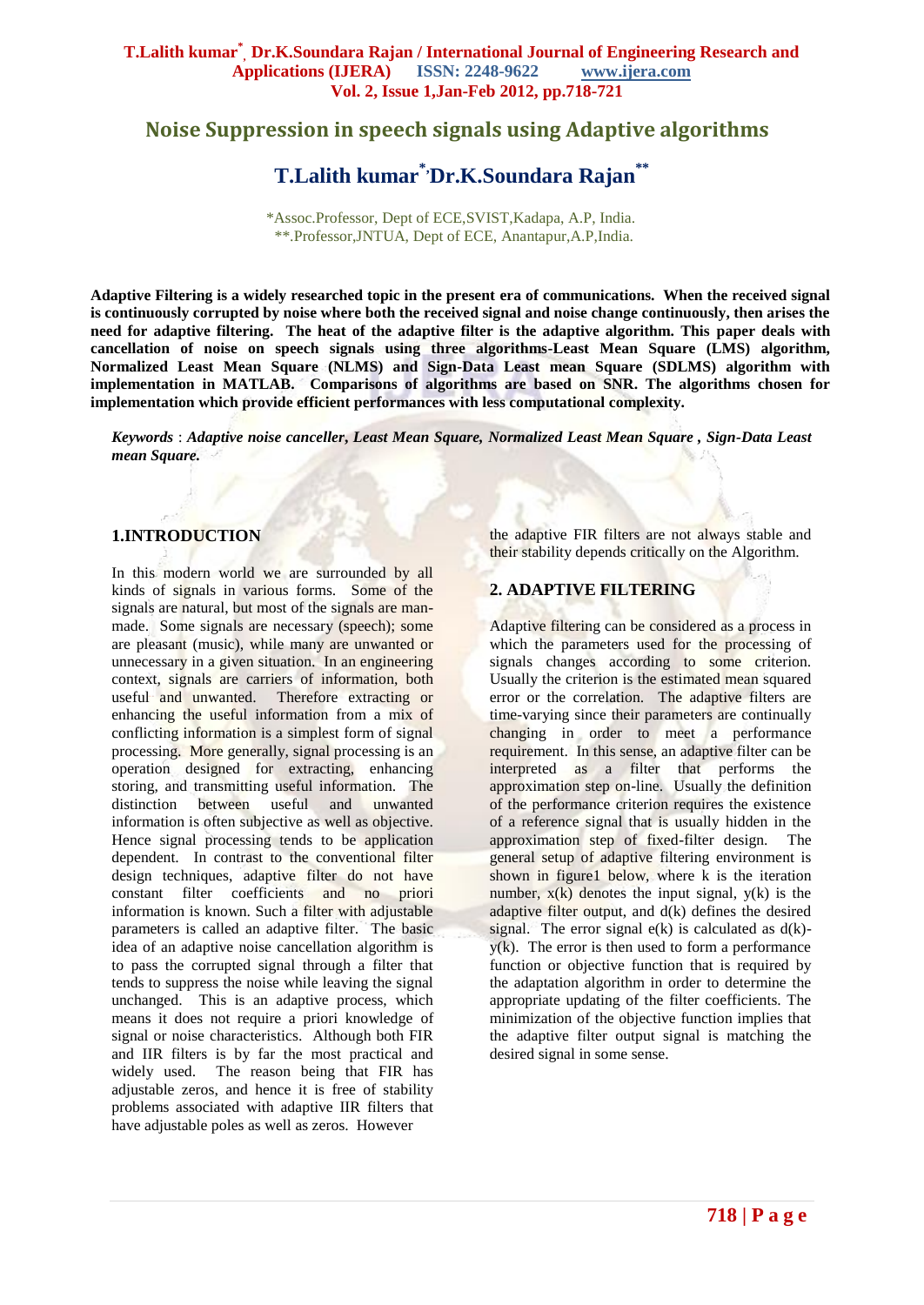## **Noise Suppression in speech signals using Adaptive algorithms**

# **T.Lalith kumar\*,Dr.K.Soundara Rajan\*\***

\*Assoc.Professor, Dept of ECE,SVIST,Kadapa, A.P, India. \*\*.Professor,JNTUA, Dept of ECE, Anantapur,A.P,India.

**Adaptive Filtering is a widely researched topic in the present era of communications. When the received signal is continuously corrupted by noise where both the received signal and noise change continuously, then arises the need for adaptive filtering. The heat of the adaptive filter is the adaptive algorithm. This paper deals with cancellation of noise on speech signals using three algorithms-Least Mean Square (LMS) algorithm, Normalized Least Mean Square (NLMS) and Sign-Data Least mean Square (SDLMS) algorithm with implementation in MATLAB. Comparisons of algorithms are based on SNR. The algorithms chosen for implementation which provide efficient performances with less computational complexity.**

*Keywords* : *Adaptive noise canceller***,** *Least Mean Square, Normalized Least Mean Square , Sign-Data Least mean Square.*

## **1.INTRODUCTION**

In this modern world we are surrounded by all kinds of signals in various forms. Some of the signals are natural, but most of the signals are manmade. Some signals are necessary (speech); some are pleasant (music), while many are unwanted or unnecessary in a given situation. In an engineering context, signals are carriers of information, both useful and unwanted. Therefore extracting or enhancing the useful information from a mix of conflicting information is a simplest form of signal processing. More generally, signal processing is an operation designed for extracting, enhancing storing, and transmitting useful information. The distinction between useful and unwanted information is often subjective as well as objective. Hence signal processing tends to be application dependent. In contrast to the conventional filter design techniques, adaptive filter do not have constant filter coefficients and no priori information is known. Such a filter with adjustable parameters is called an adaptive filter. The basic idea of an adaptive noise cancellation algorithm is to pass the corrupted signal through a filter that tends to suppress the noise while leaving the signal unchanged. This is an adaptive process, which means it does not require a priori knowledge of signal or noise characteristics. Although both FIR and IIR filters is by far the most practical and widely used. The reason being that FIR has adjustable zeros, and hence it is free of stability problems associated with adaptive IIR filters that have adjustable poles as well as zeros. However

the adaptive FIR filters are not always stable and their stability depends critically on the Algorithm.

#### **2. ADAPTIVE FILTERING**

Adaptive filtering can be considered as a process in which the parameters used for the processing of signals changes according to some criterion. Usually the criterion is the estimated mean squared error or the correlation. The adaptive filters are time-varying since their parameters are continually changing in order to meet a performance requirement. In this sense, an adaptive filter can be interpreted as a filter that performs the approximation step on-line. Usually the definition of the performance criterion requires the existence of a reference signal that is usually hidden in the approximation step of fixed-filter design. The general setup of adaptive filtering environment is shown in figure1 below, where k is the iteration number,  $x(k)$  denotes the input signal,  $y(k)$  is the adaptive filter output, and d(k) defines the desired signal. The error signal  $e(k)$  is calculated as  $d(k)$  $y(k)$ . The error is then used to form a performance function or objective function that is required by the adaptation algorithm in order to determine the appropriate updating of the filter coefficients. The minimization of the objective function implies that the adaptive filter output signal is matching the desired signal in some sense.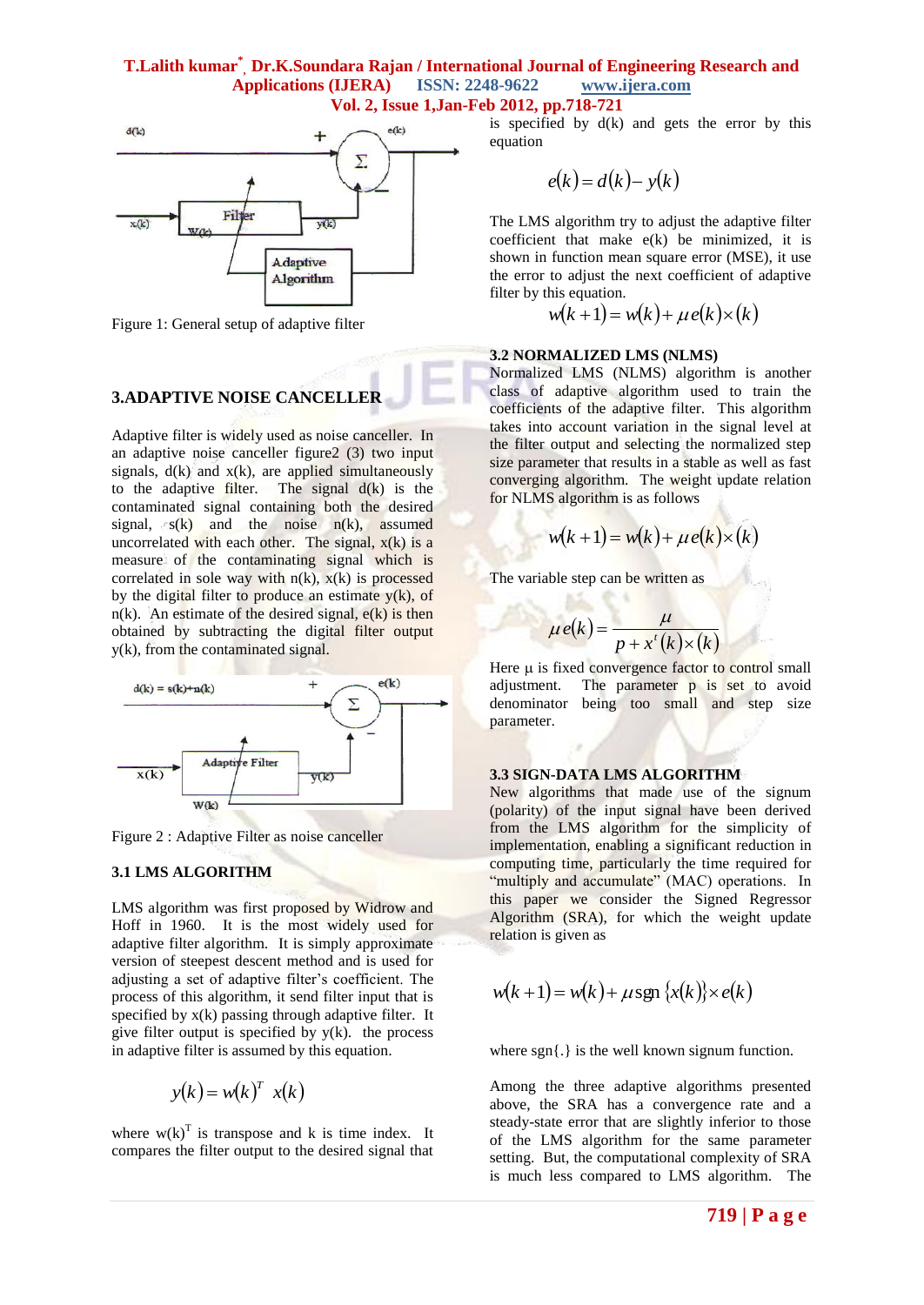#### **T.Lalith kumar\* , Dr.K.Soundara Rajan / International Journal of Engineering Research and Applications (IJERA) ISSN: 2248-9622 www.ijera.com Vol. 2, Issue 1,Jan-Feb 2012, pp.718-721**



Figure 1: General setup of adaptive filter

## **3.ADAPTIVE NOISE CANCELLER**

Adaptive filter is widely used as noise canceller. In an adaptive noise canceller figure2 (3) two input signals,  $d(k)$  and  $x(k)$ , are applied simultaneously to the adaptive filter. The signal  $d(k)$  is the contaminated signal containing both the desired signal,  $s(k)$  and the noise  $n(k)$ , assumed uncorrelated with each other. The signal,  $x(k)$  is a measure of the contaminating signal which is correlated in sole way with  $n(k)$ ,  $x(k)$  is processed by the digital filter to produce an estimate  $y(k)$ , of  $n(k)$ . An estimate of the desired signal,  $e(k)$  is then obtained by subtracting the digital filter output y(k), from the contaminated signal.



Figure 2 : Adaptive Filter as noise canceller

## **3.1 LMS ALGORITHM**

LMS algorithm was first proposed by Widrow and Hoff in 1960. It is the most widely used for adaptive filter algorithm. It is simply approximate version of steepest descent method and is used for adjusting a set of adaptive filter's coefficient. The process of this algorithm, it send filter input that is specified by  $x(k)$  passing through adaptive filter. It give filter output is specified by  $y(k)$ . the process in adaptive filter is assumed by this equation.

$$
y(k) = w(k)^T x(k)
$$

where  $w(k)^T$  is transpose and k is time index. It compares the filter output to the desired signal that

is specified by  $d(k)$  and gets the error by this equation

$$
e(k) = d(k) - y(k)
$$

The LMS algorithm try to adjust the adaptive filter coefficient that make e(k) be minimized, it is shown in function mean square error (MSE), it use the error to adjust the next coefficient of adaptive filter by this equation.

$$
w(k+1) = w(k) + \mu e(k) \times (k)
$$

#### **3.2 NORMALIZED LMS (NLMS)**

Normalized LMS (NLMS) algorithm is another class of adaptive algorithm used to train the coefficients of the adaptive filter. This algorithm takes into account variation in the signal level at the filter output and selecting the normalized step size parameter that results in a stable as well as fast converging algorithm. The weight update relation for NLMS algorithm is as follows

$$
w(k+1) = w(k) + \mu e(k) \times (k)
$$

The variable step can be written as

$$
\mu e(k) = \frac{\mu}{p + x^t(k) \times (k)}
$$

Here  $\mu$  is fixed convergence factor to control small adjustment. The parameter p is set to avoid denominator being too small and step size parameter.

#### **3.3 SIGN-DATA LMS ALGORITHM**

New algorithms that made use of the signum (polarity) of the input signal have been derived from the LMS algorithm for the simplicity of implementation, enabling a significant reduction in computing time, particularly the time required for "multiply and accumulate" (MAC) operations. In this paper we consider the Signed Regressor Algorithm (SRA), for which the weight update relation is given as

$$
w(k+1) = w(k) + \mu \operatorname{sgn}\left\{x(k)\right\} \times e(k)
$$

where sgn{.} is the well known signum function.

Among the three adaptive algorithms presented above, the SRA has a convergence rate and a steady-state error that are slightly inferior to those of the LMS algorithm for the same parameter setting. But, the computational complexity of SRA is much less compared to LMS algorithm. The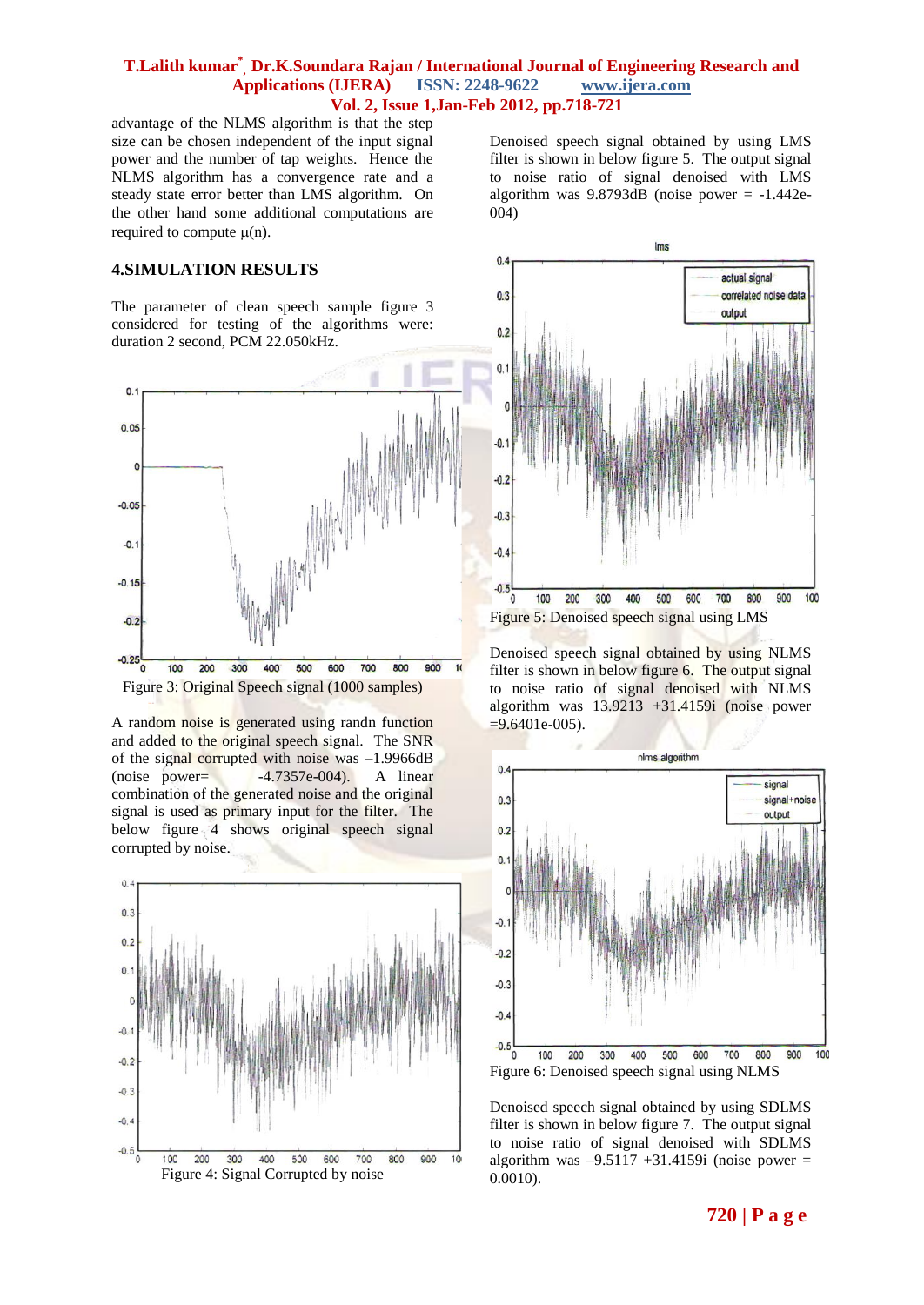## **T.Lalith kumar\* , Dr.K.Soundara Rajan / International Journal of Engineering Research and Applications (IJERA) ISSN: 2248-9622 www.ijera.com Vol. 2, Issue 1,Jan-Feb 2012, pp.718-721**

advantage of the NLMS algorithm is that the step size can be chosen independent of the input signal power and the number of tap weights. Hence the NLMS algorithm has a convergence rate and a steady state error better than LMS algorithm. On the other hand some additional computations are required to compute  $\mu(n)$ .

#### **4.SIMULATION RESULTS**

The parameter of clean speech sample figure 3 considered for testing of the algorithms were: duration 2 second, PCM 22.050kHz.



A random noise is generated using randn function and added to the original speech signal. The SNR of the signal corrupted with noise was –1.9966dB  $(noise power = -4.7357e-004)$ . A linear combination of the generated noise and the original signal is used as primary input for the filter. The below figure 4 shows original speech signal corrupted by noise.



Denoised speech signal obtained by using LMS filter is shown in below figure 5. The output signal to noise ratio of signal denoised with LMS algorithm was  $9.8793dB$  (noise power = -1.442e-004)



Denoised speech signal obtained by using NLMS filter is shown in below figure 6. The output signal to noise ratio of signal denoised with NLMS algorithm was 13.9213 +31.4159i (noise power  $=9.6401e-005$ ).



Denoised speech signal obtained by using SDLMS filter is shown in below figure 7. The output signal to noise ratio of signal denoised with SDLMS algorithm was  $-9.5117 +31.4159$ i (noise power = 0.0010).